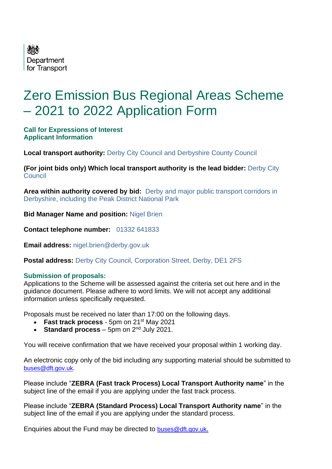

# Zero Emission Bus Regional Areas Scheme – 2021 to 2022 Application Form

#### **Call for Expressions of Interest Applicant Information**

**Local transport authority: Derby City Council and Derbyshire County Council** 

**(For joint bids only) Which local transport authority is the lead bidder:** Derby City **Council** 

**Area within authority covered by bid:** Derby and major public transport corridors in Derbyshire, including the Peak District National Park

**Bid Manager Name and position:** Nigel Brien

**Contact telephone number:** 01332 641833

**Email address:** nigel.brien@derby.gov.uk

**Postal address: Derby City Council, Corporation Street, Derby, DE1 2FS** 

#### **Submission of proposals:**

Applications to the Scheme will be assessed against the criteria set out here and in the guidance document. Please adhere to word limits. We will not accept any additional information unless specifically requested.

Proposals must be received no later than 17:00 on the following days.

- **Fast track process** 5pm on 21<sup>st</sup> May 2021
- **Standard process**  $-$  5pm on  $2^{nd}$  July 2021.

You will receive confirmation that we have received your proposal within 1 working day.

An electronic copy only of the bid including any supporting material should be submitted to [buses@dft.gov.uk](mailto:buses@dft.gov.uk).

Please include "**ZEBRA (Fast track Process) Local Transport Authority name**" in the subject line of the email if you are applying under the fast track process.

Please include "**ZEBRA (Standard Process) Local Transport Authority name**" in the subject line of the email if you are applying under the standard process.

Enquiries about the Fund may be directed to [buses@dft.gov.uk](mailto:buses@dft.gov.uk).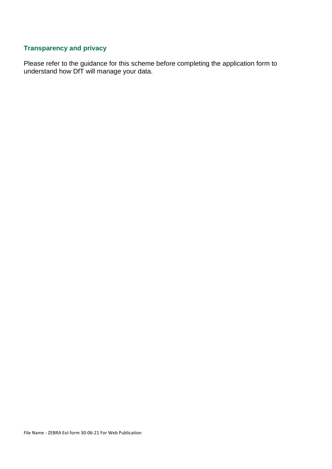### **Transparency and privacy**

Please refer to the guidance for this scheme before completing the application form to understand how DfT will manage your data.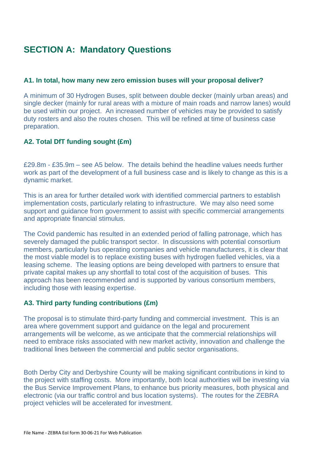# **SECTION A: Mandatory Questions**

#### **A1. In total, how many new zero emission buses will your proposal deliver?**

A minimum of 30 Hydrogen Buses, split between double decker (mainly urban areas) and single decker (mainly for rural areas with a mixture of main roads and narrow lanes) would be used within our project. An increased number of vehicles may be provided to satisfy duty rosters and also the routes chosen. This will be refined at time of business case preparation.

#### **A2. Total DfT funding sought (£m)**

£29.8m - £35.9m – see A5 below. The details behind the headline values needs further work as part of the development of a full business case and is likely to change as this is a dynamic market.

This is an area for further detailed work with identified commercial partners to establish implementation costs, particularly relating to infrastructure. We may also need some support and guidance from government to assist with specific commercial arrangements and appropriate financial stimulus.

The Covid pandemic has resulted in an extended period of falling patronage, which has severely damaged the public transport sector. In discussions with potential consortium members, particularly bus operating companies and vehicle manufacturers, it is clear that the most viable model is to replace existing buses with hydrogen fuelled vehicles, via a leasing scheme. The leasing options are being developed with partners to ensure that private capital makes up any shortfall to total cost of the acquisition of buses. This approach has been recommended and is supported by various consortium members, including those with leasing expertise.

#### **A3. Third party funding contributions (£m)**

The proposal is to stimulate third-party funding and commercial investment. This is an area where government support and guidance on the legal and procurement arrangements will be welcome, as we anticipate that the commercial relationships will need to embrace risks associated with new market activity, innovation and challenge the traditional lines between the commercial and public sector organisations.

Both Derby City and Derbyshire County will be making significant contributions in kind to the project with staffing costs. More importantly, both local authorities will be investing via the Bus Service Improvement Plans, to enhance bus priority measures, both physical and electronic (via our traffic control and bus location systems). The routes for the ZEBRA project vehicles will be accelerated for investment.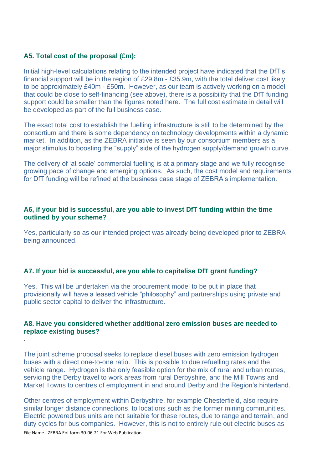#### **A5. Total cost of the proposal (£m):**

*.*

Initial high-level calculations relating to the intended project have indicated that the DfT's financial support will be in the region of £29.8m - £35.9m, with the total deliver cost likely to be approximately £40m - £50m. However, as our team is actively working on a model that could be close to self-financing (see above), there is a possibility that the DfT funding support could be smaller than the figures noted here. The full cost estimate in detail will be developed as part of the full business case.

The exact total cost to establish the fuelling infrastructure is still to be determined by the consortium and there is some dependency on technology developments within a dynamic market. In addition, as the ZEBRA initiative is seen by our consortium members as a major stimulus to boosting the "supply" side of the hydrogen supply/demand growth curve.

The delivery of 'at scale' commercial fuelling is at a primary stage and we fully recognise growing pace of change and emerging options. As such, the cost model and requirements for DfT funding will be refined at the business case stage of ZEBRA's implementation.

#### **A6, if your bid is successful, are you able to invest DfT funding within the time outlined by your scheme?**

Yes, particularly so as our intended project was already being developed prior to ZEBRA being announced.

#### **A7. If your bid is successful, are you able to capitalise DfT grant funding?**

Yes. This will be undertaken via the procurement model to be put in place that provisionally will have a leased vehicle "philosophy" and partnerships using private and public sector capital to deliver the infrastructure.

#### **A8. Have you considered whether additional zero emission buses are needed to replace existing buses?**

The joint scheme proposal seeks to replace diesel buses with zero emission hydrogen buses with a direct one-to-one ratio. This is possible to due refuelling rates and the vehicle range. Hydrogen is the only feasible option for the mix of rural and urban routes, servicing the Derby travel to work areas from rural Derbyshire, and the Mill Towns and Market Towns to centres of employment in and around Derby and the Region's hinterland.

File Name - ZEBRA EoI form 30-06-21 For Web Publication Other centres of employment within Derbyshire, for example Chesterfield, also require similar longer distance connections, to locations such as the former mining communities. Electric powered bus units are not suitable for these routes, due to range and terrain, and duty cycles for bus companies. However, this is not to entirely rule out electric buses as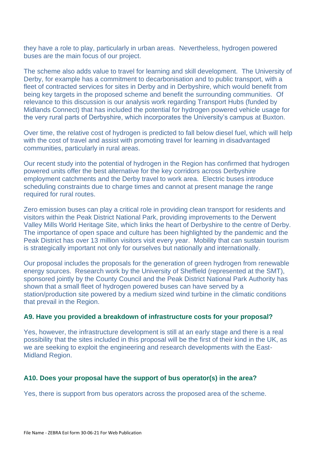they have a role to play, particularly in urban areas. Nevertheless, hydrogen powered buses are the main focus of our project.

The scheme also adds value to travel for learning and skill development. The University of Derby, for example has a commitment to decarbonisation and to public transport, with a fleet of contracted services for sites in Derby and in Derbyshire, which would benefit from being key targets in the proposed scheme and benefit the surrounding communities. Of relevance to this discussion is our analysis work regarding Transport Hubs (funded by Midlands Connect) that has included the potential for hydrogen powered vehicle usage for the very rural parts of Derbyshire, which incorporates the University's campus at Buxton.

Over time, the relative cost of hydrogen is predicted to fall below diesel fuel, which will help with the cost of travel and assist with promoting travel for learning in disadvantaged communities, particularly in rural areas.

Our recent study into the potential of hydrogen in the Region has confirmed that hydrogen powered units offer the best alternative for the key corridors across Derbyshire employment catchments and the Derby travel to work area. Electric buses introduce scheduling constraints due to charge times and cannot at present manage the range required for rural routes.

Zero emission buses can play a critical role in providing clean transport for residents and visitors within the Peak District National Park, providing improvements to the Derwent Valley Mills World Heritage Site, which links the heart of Derbyshire to the centre of Derby. The importance of open space and culture has been highlighted by the pandemic and the Peak District has over 13 million visitors visit every year. Mobility that can sustain tourism is strategically important not only for ourselves but nationally and internationally.

Our proposal includes the proposals for the generation of green hydrogen from renewable energy sources. Research work by the University of Sheffield (represented at the SMT), sponsored jointly by the County Council and the Peak District National Park Authority has shown that a small fleet of hydrogen powered buses can have served by a station/production site powered by a medium sized wind turbine in the climatic conditions that prevail in the Region.

#### **A9. Have you provided a breakdown of infrastructure costs for your proposal?**

Yes, however, the infrastructure development is still at an early stage and there is a real possibility that the sites included in this proposal will be the first of their kind in the UK, as we are seeking to exploit the engineering and research developments with the East-Midland Region.

#### **A10. Does your proposal have the support of bus operator(s) in the area?**

Yes, there is support from bus operators across the proposed area of the scheme.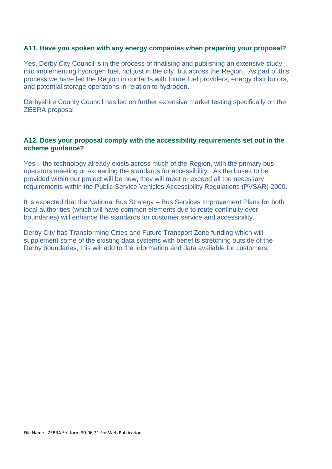#### **A11. Have you spoken with any energy companies when preparing your proposal?**

Yes, Derby City Council is in the process of finalising and publishing an extensive study into implementing hydrogen fuel, not just in the city, but across the Region. As part of this process we have led the Region in contacts with future fuel providers, energy distributors, and potential storage operations in relation to hydrogen.

Derbyshire County Council has led on further extensive market testing specifically on the ZEBRA proposal

#### **A12. Does your proposal comply with the accessibility requirements set out in the scheme guidance?**

Yes – the technology already exists across much of the Region, with the primary bus operators meeting or exceeding the standards for accessibility. As the buses to be provided within our project will be new, they will meet or exceed all the necessary requirements within the Public Service Vehicles Accessibility Regulations (PVSAR) 2000.

It is expected that the National Bus Strategy – Bus Services Improvement Plans for both local authorities (which will have common elements due to route continuity over boundaries) will enhance the standards for customer service and accessibility.

Derby City has Transforming Cities and Future Transport Zone funding which will supplement some of the existing data systems with benefits stretching outside of the Derby boundaries, this will add to the information and data available for customers.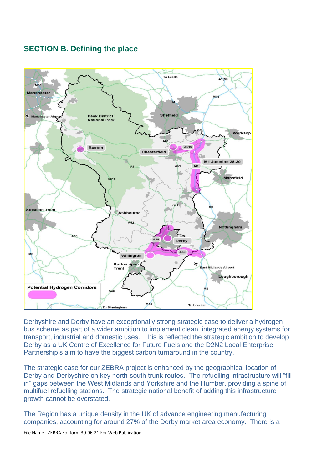### **SECTION B. Defining the place**



Derbyshire and Derby have an exceptionally strong strategic case to deliver a hydrogen bus scheme as part of a wider ambition to implement clean, integrated energy systems for transport, industrial and domestic uses. This is reflected the strategic ambition to develop Derby as a UK Centre of Excellence for Future Fuels and the D2N2 Local Enterprise Partnership's aim to have the biggest carbon turnaround in the country.

The strategic case for our ZEBRA project is enhanced by the geographical location of Derby and Derbyshire on key north-south trunk routes. The refuelling infrastructure will "fill in" gaps between the West Midlands and Yorkshire and the Humber, providing a spine of multifuel refuelling stations. The strategic national benefit of adding this infrastructure growth cannot be overstated.

The Region has a unique density in the UK of advance engineering manufacturing companies, accounting for around 27% of the Derby market area economy. There is a

File Name - ZEBRA EoI form 30-06-21 For Web Publication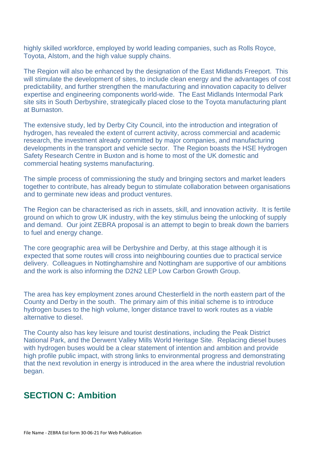highly skilled workforce, employed by world leading companies, such as Rolls Royce, Toyota, Alstom, and the high value supply chains.

The Region will also be enhanced by the designation of the East Midlands Freeport. This will stimulate the development of sites, to include clean energy and the advantages of cost predictability, and further strengthen the manufacturing and innovation capacity to deliver expertise and engineering components world-wide. The East Midlands Intermodal Park site sits in South Derbyshire, strategically placed close to the Toyota manufacturing plant at Burnaston.

The extensive study, led by Derby City Council, into the introduction and integration of hydrogen, has revealed the extent of current activity, across commercial and academic research, the investment already committed by major companies, and manufacturing developments in the transport and vehicle sector. The Region boasts the HSE Hydrogen Safety Research Centre in Buxton and is home to most of the UK domestic and commercial heating systems manufacturing.

The simple process of commissioning the study and bringing sectors and market leaders together to contribute, has already begun to stimulate collaboration between organisations and to germinate new ideas and product ventures.

The Region can be characterised as rich in assets, skill, and innovation activity. It is fertile ground on which to grow UK industry, with the key stimulus being the unlocking of supply and demand. Our joint ZEBRA proposal is an attempt to begin to break down the barriers to fuel and energy change.

The core geographic area will be Derbyshire and Derby, at this stage although it is expected that some routes will cross into neighbouring counties due to practical service delivery. Colleagues in Nottinghamshire and Nottingham are supportive of our ambitions and the work is also informing the D2N2 LEP Low Carbon Growth Group.

The area has key employment zones around Chesterfield in the north eastern part of the County and Derby in the south. The primary aim of this initial scheme is to introduce hydrogen buses to the high volume, longer distance travel to work routes as a viable alternative to diesel.

The County also has key leisure and tourist destinations, including the Peak District National Park, and the Derwent Valley Mills World Heritage Site. Replacing diesel buses with hydrogen buses would be a clear statement of intention and ambition and provide high profile public impact, with strong links to environmental progress and demonstrating that the next revolution in energy is introduced in the area where the industrial revolution began.

## **SECTION C: Ambition**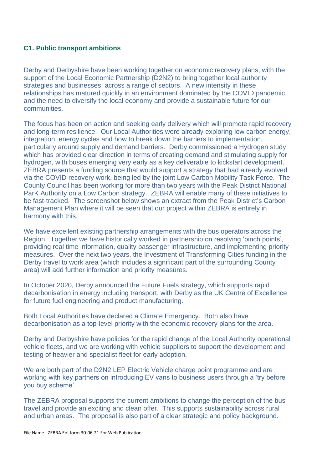#### **C1. Public transport ambitions**

Derby and Derbyshire have been working together on economic recovery plans, with the support of the Local Economic Partnership (D2N2) to bring together local authority strategies and businesses, across a range of sectors. A new intensity in these relationships has matured quickly in an environment dominated by the COVID pandemic and the need to diversify the local economy and provide a sustainable future for our communities.

The focus has been on action and seeking early delivery which will promote rapid recovery and long-term resilience. Our Local Authorities were already exploring low carbon energy, integration, energy cycles and how to break down the barriers to implementation, particularly around supply and demand barriers. Derby commissioned a Hydrogen study which has provided clear direction in terms of creating demand and stimulating supply for hydrogen, with buses emerging very early as a key deliverable to kickstart development. ZEBRA presents a funding source that would support a strategy that had already evolved via the COVID recovery work, being led by the joint Low Carbon Mobility Task Force. The County Council has been working for more than two years with the Peak District National ParK Authority on a Low Carbon strategy. ZEBRA will enable many of these initiatives to be fast-tracked. The screenshot below shows an extract from the Peak District's Carbon Management Plan where it will be seen that our project within ZEBRA is entirely in harmony with this.

We have excellent existing partnership arrangements with the bus operators across the Region. Together we have historically worked in partnership on resolving 'pinch points', providing real time information, quality passenger infrastructure, and implementing priority measures. Over the next two years, the Investment of Transforming Cities funding in the Derby travel to work area (which includes a significant part of the surrounding County area) will add further information and priority measures.

In October 2020, Derby announced the Future Fuels strategy, which supports rapid decarbonisation in energy including transport, with Derby as the UK Centre of Excellence for future fuel engineering and product manufacturing.

Both Local Authorities have declared a Climate Emergency. Both also have decarbonisation as a top-level priority with the economic recovery plans for the area.

Derby and Derbyshire have policies for the rapid change of the Local Authority operational vehicle fleets, and we are working with vehicle suppliers to support the development and testing of heavier and specialist fleet for early adoption.

We are both part of the D2N2 LEP Electric Vehicle charge point programme and are working with key partners on introducing EV vans to business users through a 'try before you buy scheme'.

The ZEBRA proposal supports the current ambitions to change the perception of the bus travel and provide an exciting and clean offer. This supports sustainability across rural and urban areas. The proposal is also part of a clear strategic and policy background.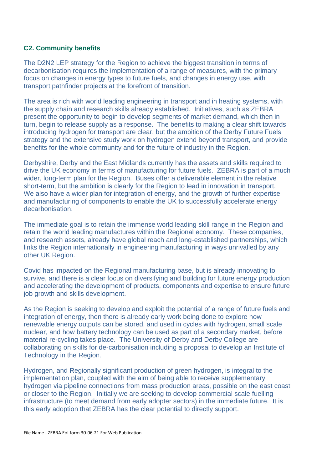#### **C2. Community benefits**

The D2N2 LEP strategy for the Region to achieve the biggest transition in terms of decarbonisation requires the implementation of a range of measures, with the primary focus on changes in energy types to future fuels, and changes in energy use, with transport pathfinder projects at the forefront of transition.

The area is rich with world leading engineering in transport and in heating systems, with the supply chain and research skills already established. Initiatives, such as ZEBRA present the opportunity to begin to develop segments of market demand, which then in turn, begin to release supply as a response. The benefits to making a clear shift towards introducing hydrogen for transport are clear, but the ambition of the Derby Future Fuels strategy and the extensive study work on hydrogen extend beyond transport, and provide benefits for the whole community and for the future of industry in the Region.

Derbyshire, Derby and the East Midlands currently has the assets and skills required to drive the UK economy in terms of manufacturing for future fuels. ZEBRA is part of a much wider, long-term plan for the Region. Buses offer a deliverable element in the relative short-term, but the ambition is clearly for the Region to lead in innovation in transport. We also have a wider plan for integration of energy, and the growth of further expertise and manufacturing of components to enable the UK to successfully accelerate energy decarbonisation.

The immediate goal is to retain the immense world leading skill range in the Region and retain the world leading manufactures within the Regional economy. These companies, and research assets, already have global reach and long-established partnerships, which links the Region internationally in engineering manufacturing in ways unrivalled by any other UK Region.

Covid has impacted on the Regional manufacturing base, but is already innovating to survive, and there is a clear focus on diversifying and building for future energy production and accelerating the development of products, components and expertise to ensure future job growth and skills development.

As the Region is seeking to develop and exploit the potential of a range of future fuels and integration of energy, then there is already early work being done to explore how renewable energy outputs can be stored, and used in cycles with hydrogen, small scale nuclear, and how battery technology can be used as part of a secondary market, before material re-cycling takes place. The University of Derby and Derby College are collaborating on skills for de-carbonisation including a proposal to develop an Institute of Technology in the Region.

Hydrogen, and Regionally significant production of green hydrogen, is integral to the implementation plan, coupled with the aim of being able to receive supplementary hydrogen via pipeline connections from mass production areas, possible on the east coast or closer to the Region. Initially we are seeking to develop commercial scale fuelling infrastructure (to meet demand from early adopter sectors) in the immediate future. It is this early adoption that ZEBRA has the clear potential to directly support.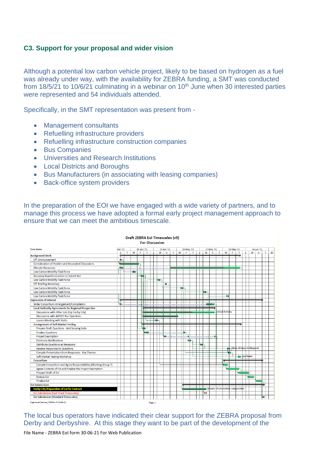#### **C3. Support for your proposal and wider vision**

Although a potential low carbon vehicle project, likely to be based on hydrogen as a fuel was already under way, with the availability for ZEBRA funding, a SMT was conducted from 18/5/21 to 10/6/21 culminating in a webinar on  $10<sup>th</sup>$  June when 30 interested parties were represented and 54 individuals attended.

Specifically, in the SMT representation was present from -

- Management consultants
- Refuelling infrastructure providers
- Refuelling infrastructure construction companies
- Bus Companies
- Universities and Research Institutions
- Local Districts and Boroughs
- Bus Manufacturers (in associating with leasing companies)
- Back-office system providers

In the preparation of the EOI we have engaged with a wide variety of partners, and to manage this process we have adopted a formal early project management approach to ensure that we can meet the ambitious timescale.

|                                                                |           |    |            |    |              |    |        | <b>For Discussion</b> |                                                                                                                 |              |            |     |                                    |    |            |                                  |              |                          |    |    |                     |                          |    |    |   |
|----------------------------------------------------------------|-----------|----|------------|----|--------------|----|--------|-----------------------|-----------------------------------------------------------------------------------------------------------------|--------------|------------|-----|------------------------------------|----|------------|----------------------------------|--------------|--------------------------|----|----|---------------------|--------------------------|----|----|---|
| <b>Task Name</b>                                               | Mar '21   |    | 05 Apr '21 |    |              |    |        | 19 Apr '21            |                                                                                                                 |              | 03 May '21 |     |                                    |    | 17 May '21 |                                  |              | 31 May '21               |    |    |                     | 14 Jun '21               |    |    |   |
| <b>Background Work</b>                                         | s         | T. | M          | F. |              | T. | S.     | W                     | -S.                                                                                                             | $\mathbf{T}$ | M          | -F. | T.                                 | S. | W          | S.                               | $\mathbf{T}$ | M                        | F. | T. | s.                  | w                        | S. | T. | м |
| <b>DfT Announcement</b>                                        | $\bullet$ |    |            |    |              |    |        |                       |                                                                                                                 |              |            |     |                                    |    |            |                                  |              |                          |    |    |                     |                          |    |    |   |
| <b>Consideration of Position and Associated Discussions</b>    | ⋤         |    |            |    |              |    |        |                       |                                                                                                                 |              |            |     |                                    |    |            |                                  |              |                          |    |    |                     |                          |    |    |   |
| <b>Allocate Resources</b>                                      |           |    |            |    |              |    |        |                       | , ծախություն հայտարական համար կառավարության համար կառավարության համար կառավարության հայտարական հայտարական հայտա |              |            |     |                                    |    |            |                                  |              |                          |    |    |                     |                          |    |    |   |
| Low Carbon Mobility Task Force                                 |           |    | ×          |    |              |    |        |                       |                                                                                                                 |              |            |     |                                    |    |            |                                  |              |                          |    |    |                     |                          |    |    |   |
| Recovery Board Instruction to Submit EoI                       |           |    |            |    | ¥            |    |        |                       |                                                                                                                 |              |            |     |                                    |    |            |                                  |              |                          |    |    |                     |                          |    |    |   |
| Low Carbon Mobility Task Force                                 |           |    |            |    |              |    |        | ba-                   |                                                                                                                 |              |            |     |                                    |    |            |                                  |              |                          |    |    |                     |                          |    |    |   |
| <b>DfT Briefing Workshop</b>                                   |           |    |            |    |              |    |        |                       | ٠                                                                                                               |              |            |     |                                    |    |            |                                  |              |                          |    |    |                     |                          |    |    |   |
| Low Carbon Mobility Task Force                                 |           |    |            |    |              |    |        |                       |                                                                                                                 |              |            |     |                                    |    |            |                                  |              |                          |    |    |                     |                          |    |    |   |
| Low Carbon Mobility Task Force                                 |           |    |            |    |              |    |        |                       |                                                                                                                 |              |            |     |                                    |    | bill-      |                                  |              |                          |    |    |                     |                          |    |    |   |
| Low Carbon Mobility Task Force                                 |           |    |            |    |              |    |        |                       |                                                                                                                 |              |            |     |                                    |    |            |                                  |              | ×                        |    |    |                     |                          |    |    |   |
| <b>Expression of Interest</b>                                  |           |    |            |    |              |    |        |                       |                                                                                                                 |              |            |     |                                    |    |            |                                  |              |                          |    |    |                     |                          |    |    |   |
| Wider Consortium Arrangement/Compilation                       |           |    |            |    | ╓┰┰┰         |    |        |                       | % վաստեսակակիկաիսի <u>սիսափաստեսա</u> կակիկոս                                                                   |              |            |     |                                    |    |            |                                  |              |                          |    |    |                     |                          |    |    |   |
| <b>Local Authority Agreements for Regional Perspective</b>     |           |    |            |    |              |    |        |                       |                                                                                                                 |              |            |     |                                    |    |            |                                  |              |                          |    |    |                     |                          |    |    |   |
| Discussions with Other LAs (Esp Derby City)                    |           |    |            |    |              |    |        |                       |                                                                                                                 |              |            |     |                                    |    |            |                                  |              | <b>Critical Activity</b> |    |    |                     |                          |    |    |   |
| Discussions with All DCC Bus Operators                         |           |    |            |    | Kanada       |    |        |                       |                                                                                                                 |              |            |     |                                    |    |            |                                  |              |                          |    |    |                     |                          |    |    |   |
| <b>Liaison Meeting with Notts</b>                              |           |    |            |    | <b>COLOR</b> |    |        |                       |                                                                                                                 |              |            |     |                                    |    |            |                                  |              |                          |    |    |                     |                          |    |    |   |
| <b>Arrangement of Soft Market Testing</b>                      |           |    |            |    |              |    |        |                       |                                                                                                                 |              |            |     |                                    |    |            |                                  |              |                          |    |    |                     |                          |    |    |   |
| Prepare Draft Questions - And Scoping Note                     |           |    |            |    | 145          |    |        |                       |                                                                                                                 |              |            |     |                                    |    |            |                                  |              |                          |    |    |                     |                          |    |    |   |
| <b>Finalise Questions</b>                                      |           |    |            |    | Ĭ            |    |        |                       |                                                                                                                 |              |            |     |                                    |    |            |                                  |              |                          |    |    |                     |                          |    |    |   |
| <b>Project Description</b>                                     |           |    |            |    |              |    |        |                       |                                                                                                                 |              |            |     | խառեւուկուսի կամ իստակականումինում |    |            |                                  |              |                          |    |    |                     |                          |    |    |   |
| <b>Electronic Notifications</b>                                |           |    |            |    |              |    |        |                       |                                                                                                                 |              |            |     | ₩                                  |    |            |                                  |              |                          |    |    |                     |                          |    |    |   |
| Distribute Questions as Necessary                              |           |    |            |    |              |    |        |                       |                                                                                                                 |              |            |     |                                    | ×  |            |                                  |              |                          |    |    |                     |                          |    |    |   |
| Receive Responses to Questions                                 |           |    |            |    |              |    |        |                       |                                                                                                                 |              |            |     |                                    |    |            |                                  |              |                          |    |    |                     | Allow 10 days to Respond |    |    |   |
| Compile Presentation from Responses - Key Themes               |           |    |            |    |              |    |        |                       |                                                                                                                 |              |            |     |                                    |    |            |                                  |              | ш                        |    |    |                     |                          |    |    |   |
| Soft Market Testing Workshop                                   |           |    |            |    |              |    |        |                       |                                                                                                                 |              |            |     |                                    |    |            |                                  |              |                          |    |    | <b>No Key Event</b> |                          |    |    |   |
| Consortium                                                     |           |    |            |    |              |    |        |                       |                                                                                                                 |              |            |     |                                    |    |            |                                  |              |                          |    |    |                     |                          |    |    |   |
| Compile Consortium and Agree Responsibilities (Working Group?) |           |    |            |    |              |    |        |                       |                                                                                                                 |              |            |     |                                    |    |            |                                  |              |                          |    |    |                     |                          |    |    |   |
| Agree Contents of EoI and Finalise the Project Description     |           |    |            |    |              |    |        |                       |                                                                                                                 |              |            |     |                                    |    |            |                                  |              |                          |    |    |                     |                          |    |    |   |
| Prepare Draft of Eol                                           |           |    |            |    |              |    |        |                       |                                                                                                                 |              |            |     |                                    |    |            |                                  |              |                          |    | 94 |                     |                          |    |    |   |
| <b>Review Eol</b>                                              |           |    |            |    |              |    |        |                       |                                                                                                                 |              |            |     |                                    |    |            |                                  |              |                          |    |    |                     |                          |    |    |   |
| <b>Finalise Eol</b>                                            |           |    |            |    |              |    |        |                       |                                                                                                                 |              |            |     |                                    |    |            |                                  |              |                          |    |    |                     |                          |    |    |   |
| <b>Eol Submissions</b>                                         |           |    |            |    |              |    |        |                       |                                                                                                                 |              |            |     |                                    |    |            |                                  |              |                          |    |    |                     |                          |    |    |   |
| <b>Derby City Preparation of EoI for Fastrack</b>              |           |    |            |    |              |    |        |                       |                                                                                                                 |              |            |     |                                    |    |            | Unsure of consortium composition |              |                          |    |    |                     |                          |    |    |   |
| <b>EoI Submission (Fast Track Timescales)</b>                  |           |    |            |    |              |    |        |                       |                                                                                                                 |              |            |     |                                    |    | 90         |                                  |              |                          |    |    |                     |                          |    |    |   |
| <b>Eol Submission (Standard Timescales)</b>                    |           |    |            |    |              |    |        |                       |                                                                                                                 |              |            |     |                                    |    |            |                                  |              |                          |    |    |                     |                          |    |    |   |
| High Level Delivery ZEBRA v9 03-06-21                          |           |    |            |    |              |    | Page 1 |                       |                                                                                                                 |              |            |     |                                    |    |            |                                  |              |                          |    |    |                     |                          |    |    |   |

#### Draft ZEBRA Eol Timescales (v9)

The local bus operators have indicated their clear support for the ZEBRA proposal from Derby and Derbyshire. At this stage they want to be part of the development of the

File Name - ZEBRA EoI form 30-06-21 For Web Publication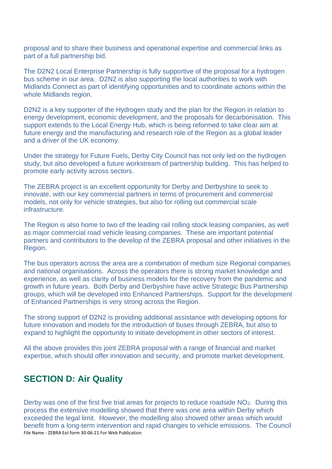proposal and to share their business and operational expertise and commercial links as part of a full partnership bid.

The D2N2 Local Enterprise Partnership is fully supportive of the proposal for a hydrogen bus scheme in our area. D2N2 is also supporting the local authorities to work with Midlands Connect as part of identifying opportunities and to coordinate actions within the whole Midlands region.

D2N2 is a key supporter of the Hydrogen study and the plan for the Region in relation to energy development, economic development, and the proposals for decarbonisation. This support extends to the Local Energy Hub, which is being reformed to take clear aim at future energy and the manufacturing and research role of the Region as a global leader and a driver of the UK economy.

Under the strategy for Future Fuels, Derby City Council has not only led on the hydrogen study, but also developed a future workstream of partnership building. This has helped to promote early activity across sectors.

The ZEBRA project is an excellent opportunity for Derby and Derbyshire to seek to innovate, with our key commercial partners in terms of procurement and commercial models, not only for vehicle strategies, but also for rolling out commercial scale infrastructure.

The Region is also home to two of the leading rail rolling stock leasing companies, as well as major commercial road vehicle leasing companies. These are important potential partners and contributors to the develop of the ZEBRA proposal and other initiatives in the Region.

The bus operators across the area are a combination of medium size Regional companies and national organisations. Across the operators there is strong market knowledge and experience, as well as clarity of business models for the recovery from the pandemic and growth in future years. Both Derby and Derbyshire have active Strategic Bus Partnership groups, which will be developed into Enhanced Partnerships. Support for the development of Enhanced Partnerships is very strong across the Region.

The strong support of D2N2 is providing additional assistance with developing options for future innovation and models for the introduction of buses through ZEBRA, but also to expand to highlight the opportunity to initiate development in other sectors of interest.

All the above provides this joint ZEBRA proposal with a range of financial and market expertise, which should offer innovation and security, and promote market development.

# **SECTION D: Air Quality**

File Name - ZEBRA EoI form 30-06-21 For Web Publication Derby was one of the first five trial areas for projects to reduce roadside NO<sub>2</sub>. During this process the extensive modelling showed that there was one area within Derby which exceeded the legal limit. However, the modelling also showed other areas which would benefit from a long-term intervention and rapid changes to vehicle emissions. The Council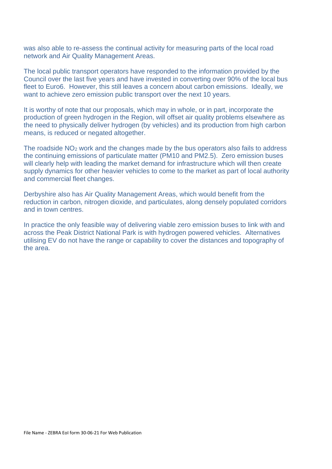was also able to re-assess the continual activity for measuring parts of the local road network and Air Quality Management Areas.

The local public transport operators have responded to the information provided by the Council over the last five years and have invested in converting over 90% of the local bus fleet to Euro6. However, this still leaves a concern about carbon emissions. Ideally, we want to achieve zero emission public transport over the next 10 years.

It is worthy of note that our proposals, which may in whole, or in part, incorporate the production of green hydrogen in the Region, will offset air quality problems elsewhere as the need to physically deliver hydrogen (by vehicles) and its production from high carbon means, is reduced or negated altogether.

The roadside NO<sup>2</sup> work and the changes made by the bus operators also fails to address the continuing emissions of particulate matter (PM10 and PM2.5). Zero emission buses will clearly help with leading the market demand for infrastructure which will then create supply dynamics for other heavier vehicles to come to the market as part of local authority and commercial fleet changes.

Derbyshire also has Air Quality Management Areas, which would benefit from the reduction in carbon, nitrogen dioxide, and particulates, along densely populated corridors and in town centres.

In practice the only feasible way of delivering viable zero emission buses to link with and across the Peak District National Park is with hydrogen powered vehicles. Alternatives utilising EV do not have the range or capability to cover the distances and topography of the area.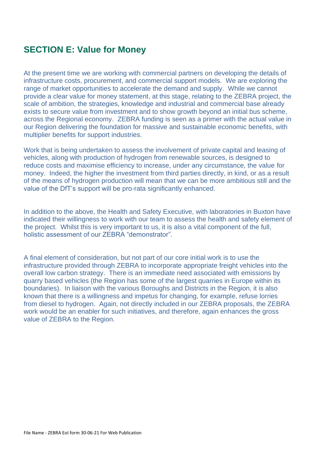# **SECTION E: Value for Money**

At the present time we are working with commercial partners on developing the details of infrastructure costs, procurement, and commercial support models.We are exploring the range of market opportunities to accelerate the demand and supply. While we cannot provide a clear value for money statement, at this stage, relating to the ZEBRA project, the scale of ambition, the strategies, knowledge and industrial and commercial base already exists to secure value from investment and to show growth beyond an initial bus scheme, across the Regional economy. ZEBRA funding is seen as a primer with the actual value in our Region delivering the foundation for massive and sustainable economic benefits, with multiplier benefits for support industries.

Work that is being undertaken to assess the involvement of private capital and leasing of vehicles, along with production of hydrogen from renewable sources, is designed to reduce costs and maximise efficiency to increase, under any circumstance, the value for money. Indeed, the higher the investment from third parties directly, in kind, or as a result of the means of hydrogen production will mean that we can be more ambitious still and the value of the DfT's support will be pro-rata significantly enhanced.

In addition to the above, the Health and Safety Executive, with laboratories in Buxton have indicated their willingness to work with our team to assess the health and safety element of the project. Whilst this is very important to us, it is also a vital component of the full, holistic assessment of our ZEBRA "demonstrator".

A final element of consideration, but not part of our core initial work is to use the infrastructure provided through ZEBRA to incorporate appropriate freight vehicles into the overall low carbon strategy. There is an immediate need associated with emissions by quarry based vehicles (the Region has some of the largest quarries in Europe within its boundaries). In liaison with the various Boroughs and Districts in the Region, it is also known that there is a willingness and impetus for changing, for example, refuse lorries from diesel to hydrogen. Again, not directly included in our ZEBRA proposals, the ZEBRA work would be an enabler for such initiatives, and therefore, again enhances the gross value of ZEBRA to the Region.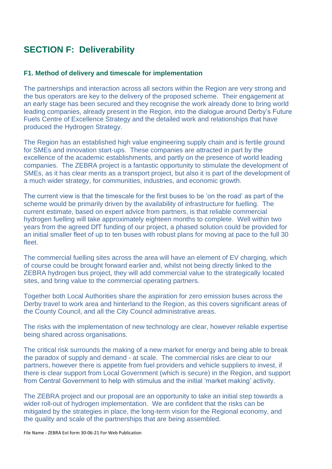# **SECTION F: Deliverability**

#### **F1. Method of delivery and timescale for implementation**

The partnerships and interaction across all sectors within the Region are very strong and the bus operators are key to the delivery of the proposed scheme. Their engagement at an early stage has been secured and they recognise the work already done to bring world leading companies, already present in the Region, into the dialogue around Derby's Future Fuels Centre of Excellence Strategy and the detailed work and relationships that have produced the Hydrogen Strategy.

The Region has an established high value engineering supply chain and is fertile ground for SMEs and innovation start-ups. These companies are attracted in part by the excellence of the academic establishments, and partly on the presence of world leading companies. The ZEBRA project is a fantastic opportunity to stimulate the development of SMEs, as it has clear merits as a transport project, but also it is part of the development of a much wider strategy, for communities, industries, and economic growth.

The current view is that the timescale for the first buses to be 'on the road' as part of the scheme would be primarily driven by the availability of infrastructure for fuelling. The current estimate, based on expert advice from partners, is that reliable commercial hydrogen fuelling will take approximately eighteen months to complete. Well within two years from the agreed DfT funding of our project, a phased solution could be provided for an initial smaller fleet of up to ten buses with robust plans for moving at pace to the full 30 fleet.

The commercial fuelling sites across the area will have an element of EV charging, which of course could be brought forward earlier and, whilst not being directly linked to the ZEBRA hydrogen bus project, they will add commercial value to the strategically located sites, and bring value to the commercial operating partners.

Together both Local Authorities share the aspiration for zero emission buses across the Derby travel to work area and hinterland to the Region, as this covers significant areas of the County Council, and all the City Council administrative areas.

The risks with the implementation of new technology are clear, however reliable expertise being shared across organisations.

The critical risk surrounds the making of a new market for energy and being able to break the paradox of supply and demand - at scale. The commercial risks are clear to our partners, however there is appetite from fuel providers and vehicle suppliers to invest, if there is clear support from Local Government (which is secure) in the Region, and support from Central Government to help with stimulus and the initial 'market making' activity.

The ZEBRA project and our proposal are an opportunity to take an initial step towards a wider roll-out of hydrogen implementation. We are confident that the risks can be mitigated by the strategies in place, the long-term vision for the Regional economy, and the quality and scale of the partnerships that are being assembled.